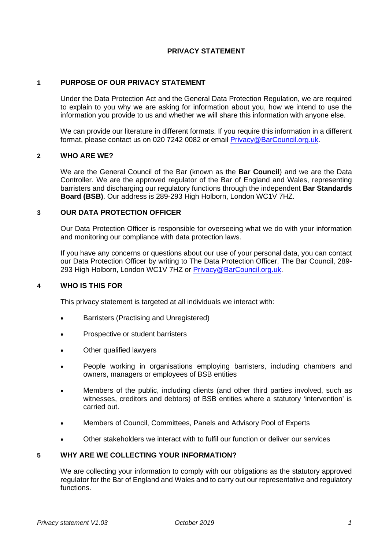# **PRIVACY STATEMENT**

## **1 PURPOSE OF OUR PRIVACY STATEMENT**

Under the Data Protection Act and the General Data Protection Regulation, we are required to explain to you why we are asking for information about you, how we intend to use the information you provide to us and whether we will share this information with anyone else.

We can provide our literature in different formats. If you require this information in a different format, please contact us on 020 7242 0082 or email [Privacy@BarCouncil.org.uk.](mailto:Privacy@BarCouncil.org.uk)

#### **2 WHO ARE WE?**

We are the General Council of the Bar (known as the **Bar Council**) and we are the Data Controller. We are the approved regulator of the Bar of England and Wales, representing barristers and discharging our regulatory functions through the independent **Bar Standards Board (BSB)**. Our address is 289-293 High Holborn, London WC1V 7HZ.

#### **3 OUR DATA PROTECTION OFFICER**

Our Data Protection Officer is responsible for overseeing what we do with your information and monitoring our compliance with data protection laws.

If you have any concerns or questions about our use of your personal data, you can contact our Data Protection Officer by writing to The Data Protection Officer, The Bar Council, 289- 293 High Holborn, London WC1V 7HZ or [Privacy@BarCouncil.org.uk.](mailto:Privacy@BarCouncil.org.uk)

#### **4 WHO IS THIS FOR**

This privacy statement is targeted at all individuals we interact with:

- Barristers (Practising and Unregistered)
- Prospective or student barristers
- Other qualified lawyers
- People working in organisations employing barristers, including chambers and owners, managers or employees of BSB entities
- Members of the public, including clients (and other third parties involved, such as witnesses, creditors and debtors) of BSB entities where a statutory 'intervention' is carried out.
- Members of Council, Committees, Panels and Advisory Pool of Experts
- Other stakeholders we interact with to fulfil our function or deliver our services

# **5 WHY ARE WE COLLECTING YOUR INFORMATION?**

We are collecting your information to comply with our obligations as the statutory approved regulator for the Bar of England and Wales and to carry out our representative and regulatory functions.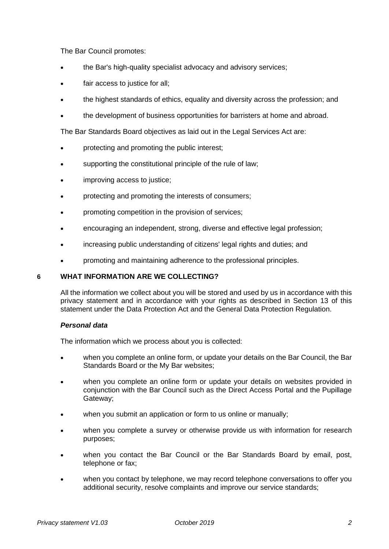The Bar Council promotes:

- the Bar's high-quality specialist advocacy and advisory services;
- fair access to justice for all;
- the highest standards of ethics, equality and diversity across the profession; and
- the development of business opportunities for barristers at home and abroad.

The Bar Standards Board objectives as laid out in the Legal Services Act are:

- protecting and promoting the public interest;
- supporting the constitutional principle of the rule of law;
- improving access to justice;
- protecting and promoting the interests of consumers;
- promoting competition in the provision of services;
- encouraging an independent, strong, diverse and effective legal profession;
- increasing public understanding of citizens' legal rights and duties; and
- promoting and maintaining adherence to the professional principles.

#### **6 WHAT INFORMATION ARE WE COLLECTING?**

All the information we collect about you will be stored and used by us in accordance with this privacy statement and in accordance with your rights as described in Section 13 of this statement under the Data Protection Act and the General Data Protection Regulation.

#### *Personal data*

The information which we process about you is collected:

- when you complete an online form, or update your details on the Bar Council, the Bar Standards Board or the My Bar websites;
- when you complete an online form or update your details on websites provided in conjunction with the Bar Council such as the Direct Access Portal and the Pupillage Gateway;
- when you submit an application or form to us online or manually;
- when you complete a survey or otherwise provide us with information for research purposes;
- when you contact the Bar Council or the Bar Standards Board by email, post, telephone or fax;
- when you contact by telephone, we may record telephone conversations to offer you additional security, resolve complaints and improve our service standards;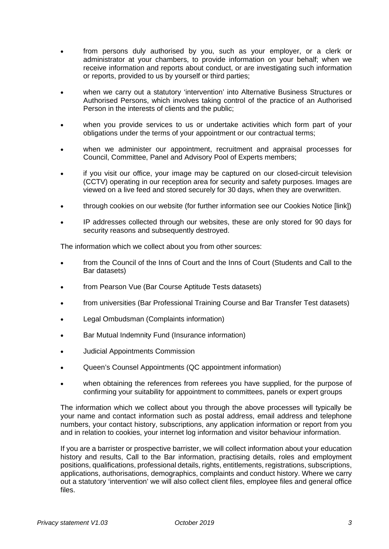- from persons duly authorised by you, such as your employer, or a clerk or administrator at your chambers, to provide information on your behalf; when we receive information and reports about conduct, or are investigating such information or reports, provided to us by yourself or third parties;
- when we carry out a statutory 'intervention' into Alternative Business Structures or Authorised Persons, which involves taking control of the practice of an Authorised Person in the interests of clients and the public;
- when you provide services to us or undertake activities which form part of your obligations under the terms of your appointment or our contractual terms;
- when we administer our appointment, recruitment and appraisal processes for Council, Committee, Panel and Advisory Pool of Experts members;
- if you visit our office, your image may be captured on our closed-circuit television (CCTV) operating in our reception area for security and safety purposes. Images are viewed on a live feed and stored securely for 30 days, when they are overwritten.
- through cookies on our website (for further information see our Cookies Notice [link])
- IP addresses collected through our websites, these are only stored for 90 days for security reasons and subsequently destroyed.

The information which we collect about you from other sources:

- from the Council of the Inns of Court and the Inns of Court (Students and Call to the Bar datasets)
- from Pearson Vue (Bar Course Aptitude Tests datasets)
- from universities (Bar Professional Training Course and Bar Transfer Test datasets)
- Legal Ombudsman (Complaints information)
- Bar Mutual Indemnity Fund (Insurance information)
- Judicial Appointments Commission
- Queen's Counsel Appointments (QC appointment information)
- when obtaining the references from referees you have supplied, for the purpose of confirming your suitability for appointment to committees, panels or expert groups

The information which we collect about you through the above processes will typically be your name and contact information such as postal address, email address and telephone numbers, your contact history, subscriptions, any application information or report from you and in relation to cookies, your internet log information and visitor behaviour information.

If you are a barrister or prospective barrister, we will collect information about your education history and results, Call to the Bar information, practising details, roles and employment positions, qualifications, professional details, rights, entitlements, registrations, subscriptions, applications, authorisations, demographics, complaints and conduct history. Where we carry out a statutory 'intervention' we will also collect client files, employee files and general office files.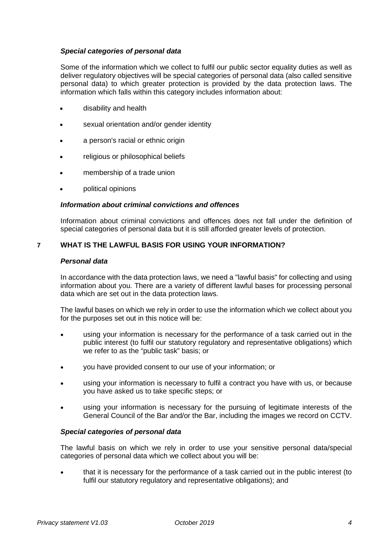## *Special categories of personal data*

Some of the information which we collect to fulfil our public sector equality duties as well as deliver regulatory objectives will be special categories of personal data (also called sensitive personal data) to which greater protection is provided by the data protection laws. The information which falls within this category includes information about:

- disability and health
- sexual orientation and/or gender identity
- a person's racial or ethnic origin
- religious or philosophical beliefs
- membership of a trade union
- political opinions

## *Information about criminal convictions and offences*

Information about criminal convictions and offences does not fall under the definition of special categories of personal data but it is still afforded greater levels of protection.

## **7 WHAT IS THE LAWFUL BASIS FOR USING YOUR INFORMATION?**

#### *Personal data*

In accordance with the data protection laws, we need a "lawful basis" for collecting and using information about you. There are a variety of different lawful bases for processing personal data which are set out in the data protection laws.

The lawful bases on which we rely in order to use the information which we collect about you for the purposes set out in this notice will be:

- using your information is necessary for the performance of a task carried out in the public interest (to fulfil our statutory regulatory and representative obligations) which we refer to as the "public task" basis; or
- you have provided consent to our use of your information; or
- using your information is necessary to fulfil a contract you have with us, or because you have asked us to take specific steps; or
- using your information is necessary for the pursuing of legitimate interests of the General Council of the Bar and/or the Bar, including the images we record on CCTV.

#### *Special categories of personal data*

The lawful basis on which we rely in order to use your sensitive personal data/special categories of personal data which we collect about you will be:

 that it is necessary for the performance of a task carried out in the public interest (to fulfil our statutory regulatory and representative obligations); and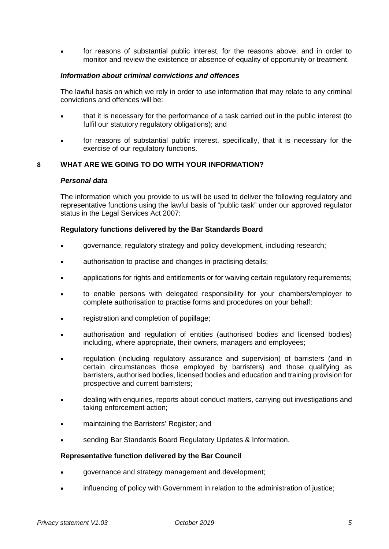for reasons of substantial public interest, for the reasons above, and in order to monitor and review the existence or absence of equality of opportunity or treatment.

## *Information about criminal convictions and offences*

The lawful basis on which we rely in order to use information that may relate to any criminal convictions and offences will be:

- that it is necessary for the performance of a task carried out in the public interest (to fulfil our statutory regulatory obligations); and
- for reasons of substantial public interest, specifically, that it is necessary for the exercise of our regulatory functions.

## **8 WHAT ARE WE GOING TO DO WITH YOUR INFORMATION?**

#### *Personal data*

The information which you provide to us will be used to deliver the following regulatory and representative functions using the lawful basis of "public task" under our approved regulator status in the Legal Services Act 2007:

#### **Regulatory functions delivered by the Bar Standards Board**

- governance, regulatory strategy and policy development, including research;
- authorisation to practise and changes in practising details;
- applications for rights and entitlements or for waiving certain regulatory requirements;
- to enable persons with delegated responsibility for your chambers/employer to complete authorisation to practise forms and procedures on your behalf;
- registration and completion of pupillage;
- authorisation and regulation of entities (authorised bodies and licensed bodies) including, where appropriate, their owners, managers and employees;
- regulation (including regulatory assurance and supervision) of barristers (and in certain circumstances those employed by barristers) and those qualifying as barristers, authorised bodies, licensed bodies and education and training provision for prospective and current barristers;
- dealing with enquiries, reports about conduct matters, carrying out investigations and taking enforcement action;
- maintaining the Barristers' Register; and
- sending Bar Standards Board Regulatory Updates & Information.

#### **Representative function delivered by the Bar Council**

- governance and strategy management and development;
- influencing of policy with Government in relation to the administration of justice;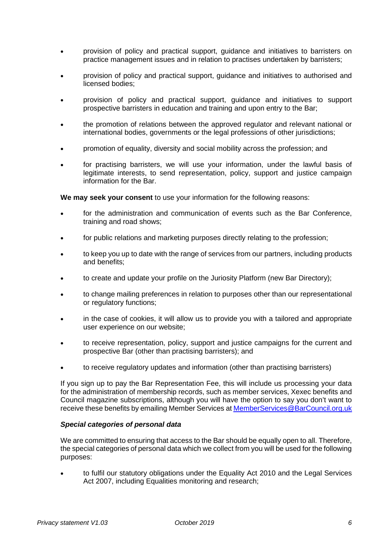- provision of policy and practical support, guidance and initiatives to barristers on practice management issues and in relation to practises undertaken by barristers;
- provision of policy and practical support, guidance and initiatives to authorised and licensed bodies;
- provision of policy and practical support, guidance and initiatives to support prospective barristers in education and training and upon entry to the Bar;
- the promotion of relations between the approved regulator and relevant national or international bodies, governments or the legal professions of other jurisdictions;
- promotion of equality, diversity and social mobility across the profession; and
- for practising barristers, we will use your information, under the lawful basis of legitimate interests, to send representation, policy, support and justice campaign information for the Bar.

**We may seek your consent** to use your information for the following reasons:

- for the administration and communication of events such as the Bar Conference, training and road shows;
- for public relations and marketing purposes directly relating to the profession;
- to keep you up to date with the range of services from our partners, including products and benefits;
- to create and update your profile on the Juriosity Platform (new Bar Directory);
- to change mailing preferences in relation to purposes other than our representational or regulatory functions;
- in the case of cookies, it will allow us to provide you with a tailored and appropriate user experience on our website;
- to receive representation, policy, support and justice campaigns for the current and prospective Bar (other than practising barristers); and
- to receive regulatory updates and information (other than practising barristers)

If you sign up to pay the Bar Representation Fee, this will include us processing your data for the administration of membership records, such as member services, Xexec benefits and Council magazine subscriptions, although you will have the option to say you don't want to receive these benefits by emailing Member Services a[t MemberServices@BarCouncil.org.uk](mailto:MemberServices@BarCouncil.org.uk) 

#### *Special categories of personal data*

We are committed to ensuring that access to the Bar should be equally open to all. Therefore, the special categories of personal data which we collect from you will be used for the following purposes:

 to fulfil our statutory obligations under the Equality Act 2010 and the Legal Services Act 2007, including Equalities monitoring and research;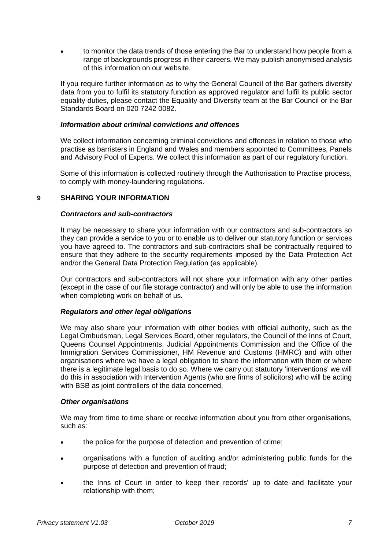to monitor the data trends of those entering the Bar to understand how people from a range of backgrounds progress in their careers. We may publish anonymised analysis of this information on our website.

If you require further information as to why the General Council of the Bar gathers diversity data from you to fulfil its statutory function as approved regulator and fulfil its public sector equality duties, please contact the Equality and Diversity team at the Bar Council or the Bar Standards Board on 020 7242 0082.

### *Information about criminal convictions and offences*

We collect information concerning criminal convictions and offences in relation to those who practise as barristers in England and Wales and members appointed to Committees, Panels and Advisory Pool of Experts. We collect this information as part of our regulatory function.

Some of this information is collected routinely through the Authorisation to Practise process, to comply with money-laundering regulations.

## **9 SHARING YOUR INFORMATION**

#### *Contractors and sub-contractors*

It may be necessary to share your information with our contractors and sub-contractors so they can provide a service to you or to enable us to deliver our statutory function or services you have agreed to. The contractors and sub-contractors shall be contractually required to ensure that they adhere to the security requirements imposed by the Data Protection Act and/or the General Data Protection Regulation (as applicable).

Our contractors and sub-contractors will not share your information with any other parties (except in the case of our file storage contractor) and will only be able to use the information when completing work on behalf of us.

#### *Regulators and other legal obligations*

We may also share your information with other bodies with official authority, such as the Legal Ombudsman, Legal Services Board, other regulators, the Council of the Inns of Court, Queens Counsel Appointments, Judicial Appointments Commission and the Office of the Immigration Services Commissioner, HM Revenue and Customs (HMRC) and with other organisations where we have a legal obligation to share the information with them or where there is a legitimate legal basis to do so. Where we carry out statutory 'interventions' we will do this in association with Intervention Agents (who are firms of solicitors) who will be acting with BSB as joint controllers of the data concerned.

#### *Other organisations*

We may from time to time share or receive information about you from other organisations, such as:

- the police for the purpose of detection and prevention of crime;
- organisations with a function of auditing and/or administering public funds for the purpose of detection and prevention of fraud;
- the Inns of Court in order to keep their records' up to date and facilitate your relationship with them;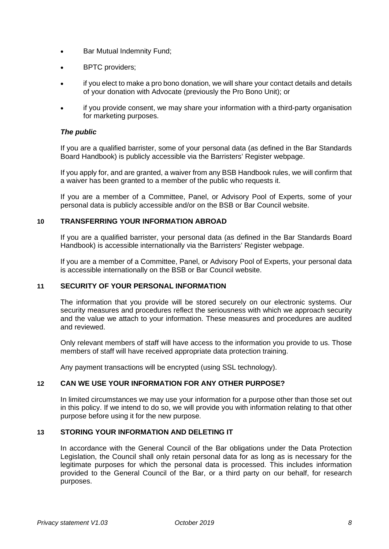- Bar Mutual Indemnity Fund;
- BPTC providers;
- if you elect to make a pro bono donation, we will share your contact details and details of your donation with Advocate (previously the Pro Bono Unit); or
- if you provide consent, we may share your information with a third-party organisation for marketing purposes.

#### *The public*

If you are a qualified barrister, some of your personal data (as defined in the Bar Standards Board Handbook) is publicly accessible via the Barristers' Register webpage.

If you apply for, and are granted, a waiver from any BSB Handbook rules, we will confirm that a waiver has been granted to a member of the public who requests it.

If you are a member of a Committee, Panel, or Advisory Pool of Experts, some of your personal data is publicly accessible and/or on the BSB or Bar Council website.

#### **10 TRANSFERRING YOUR INFORMATION ABROAD**

If you are a qualified barrister, your personal data (as defined in the Bar Standards Board Handbook) is accessible internationally via the Barristers' Register webpage.

If you are a member of a Committee, Panel, or Advisory Pool of Experts, your personal data is accessible internationally on the BSB or Bar Council website.

# **11 SECURITY OF YOUR PERSONAL INFORMATION**

The information that you provide will be stored securely on our electronic systems. Our security measures and procedures reflect the seriousness with which we approach security and the value we attach to your information. These measures and procedures are audited and reviewed.

Only relevant members of staff will have access to the information you provide to us. Those members of staff will have received appropriate data protection training.

Any payment transactions will be encrypted (using SSL technology).

### **12 CAN WE USE YOUR INFORMATION FOR ANY OTHER PURPOSE?**

In limited circumstances we may use your information for a purpose other than those set out in this policy. If we intend to do so, we will provide you with information relating to that other purpose before using it for the new purpose.

#### **13 STORING YOUR INFORMATION AND DELETING IT**

In accordance with the General Council of the Bar obligations under the Data Protection Legislation, the Council shall only retain personal data for as long as is necessary for the legitimate purposes for which the personal data is processed. This includes information provided to the General Council of the Bar, or a third party on our behalf, for research purposes.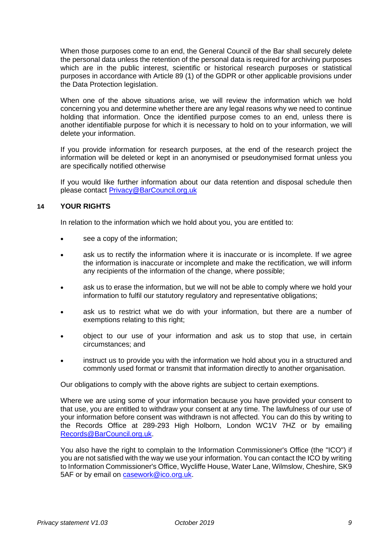When those purposes come to an end, the General Council of the Bar shall securely delete the personal data unless the retention of the personal data is required for archiving purposes which are in the public interest, scientific or historical research purposes or statistical purposes in accordance with Article 89 (1) of the GDPR or other applicable provisions under the Data Protection legislation.

When one of the above situations arise, we will review the information which we hold concerning you and determine whether there are any legal reasons why we need to continue holding that information. Once the identified purpose comes to an end, unless there is another identifiable purpose for which it is necessary to hold on to your information, we will delete your information.

If you provide information for research purposes, at the end of the research project the information will be deleted or kept in an anonymised or pseudonymised format unless you are specifically notified otherwise

If you would like further information about our data retention and disposal schedule then please contact [Privacy@BarCouncil.org.uk](mailto:Privacy@BarCouncil.org.uk) 

## **14 YOUR RIGHTS**

In relation to the information which we hold about you, you are entitled to:

- see a copy of the information;
- ask us to rectify the information where it is inaccurate or is incomplete. If we agree the information is inaccurate or incomplete and make the rectification, we will inform any recipients of the information of the change, where possible;
- ask us to erase the information, but we will not be able to comply where we hold your information to fulfil our statutory regulatory and representative obligations;
- ask us to restrict what we do with your information, but there are a number of exemptions relating to this right;
- object to our use of your information and ask us to stop that use, in certain circumstances; and
- instruct us to provide you with the information we hold about you in a structured and commonly used format or transmit that information directly to another organisation.

Our obligations to comply with the above rights are subject to certain exemptions.

Where we are using some of your information because you have provided your consent to that use, you are entitled to withdraw your consent at any time. The lawfulness of our use of your information before consent was withdrawn is not affected. You can do this by writing to the Records Office at 289-293 High Holborn, London WC1V 7HZ or by emailing [Records@BarCouncil.org.uk.](mailto:Records@BarCouncil.org.uk)

You also have the right to complain to the Information Commissioner's Office (the "ICO") if you are not satisfied with the way we use your information. You can contact the ICO by writing to Information Commissioner's Office, Wycliffe House, Water Lane, Wilmslow, Cheshire, SK9 5AF or by email on [casework@ico.org.uk.](mailto:casework@ico.org.uk)